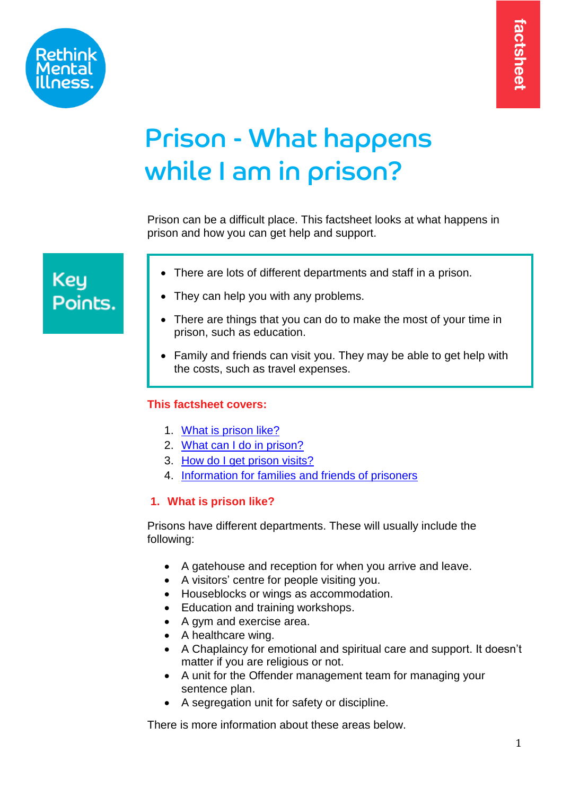

# Prison - What happens while I am in prison?

Prison can be a difficult place. This factsheet looks at what happens in prison and how you can get help and support.

# **Key** Points.

- There are lots of different departments and staff in a prison.
- They can help you with any problems.
- There are things that you can do to make the most of your time in prison, such as education.
- Family and friends can visit you. They may be able to get help with the costs, such as travel expenses.

# <span id="page-0-1"></span>**This factsheet covers:**

- 1. [What is prison like?](#page-0-0)
- 2. [What can I do in prison?](#page-4-0)
- 3. [How do I get prison visits?](#page-7-0)
- 4. [Information for families and friends of prisoners](#page-7-0)

# <span id="page-0-0"></span>**1. What is prison like?**

Prisons have different departments. These will usually include the following:

- A gatehouse and reception for when you arrive and leave.
- A visitors' centre for people visiting you.
- Houseblocks or wings as accommodation.
- Education and training workshops.
- A gym and exercise area.
- A healthcare wing.
- A Chaplaincy for emotional and spiritual care and support. It doesn't matter if you are religious or not.
- A unit for the Offender management team for managing your sentence plan.
- A segregation unit for safety or discipline.

There is more information about these areas below.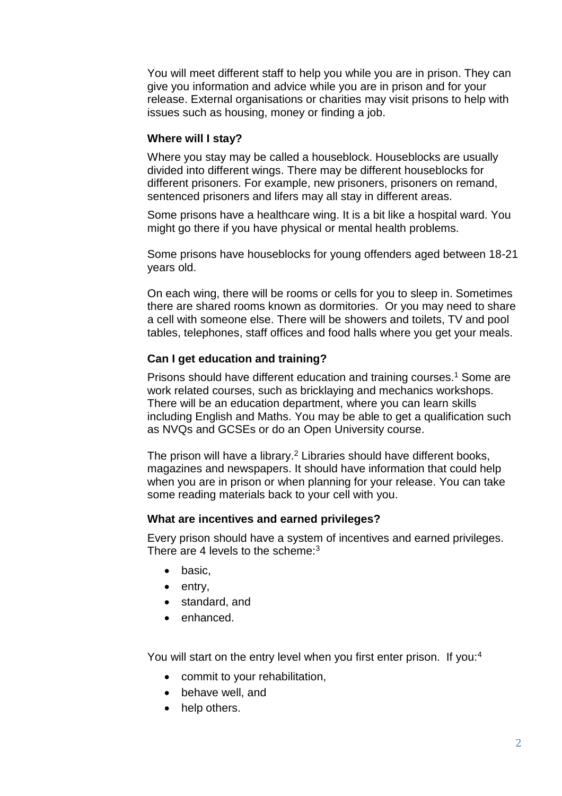You will meet different staff to help you while you are in prison. They can give you information and advice while you are in prison and for your release. External organisations or charities may visit prisons to help with issues such as housing, money or finding a job.

#### **Where will I stay?**

Where you stay may be called a houseblock. Houseblocks are usually divided into different wings. There may be different houseblocks for different prisoners. For example, new prisoners, prisoners on remand, sentenced prisoners and lifers may all stay in different areas.

Some prisons have a healthcare wing. It is a bit like a hospital ward. You might go there if you have physical or mental health problems.

Some prisons have houseblocks for young offenders aged between 18-21 years old.

On each wing, there will be rooms or cells for you to sleep in. Sometimes there are shared rooms known as dormitories. Or you may need to share a cell with someone else. There will be showers and toilets, TV and pool tables, telephones, staff offices and food halls where you get your meals.

#### **Can I get education and training?**

Prisons should have different education and training courses.<sup>1</sup> Some are work related courses, such as bricklaying and mechanics workshops. There will be an education department, where you can learn skills including English and Maths. You may be able to get a qualification such as NVQs and GCSEs or do an Open University course.

The prison will have a library.<sup>2</sup> Libraries should have different books, magazines and newspapers. It should have information that could help when you are in prison or when planning for your release. You can take some reading materials back to your cell with you.

#### **What are incentives and earned privileges?**

Every prison should have a system of incentives and earned privileges. There are 4 levels to the scheme: $3$ 

- basic,
- entry,
- standard, and
- enhanced.

You will start on the entry level when you first enter prison. If you:<sup>4</sup>

- commit to your rehabilitation,
- behave well, and
- help others.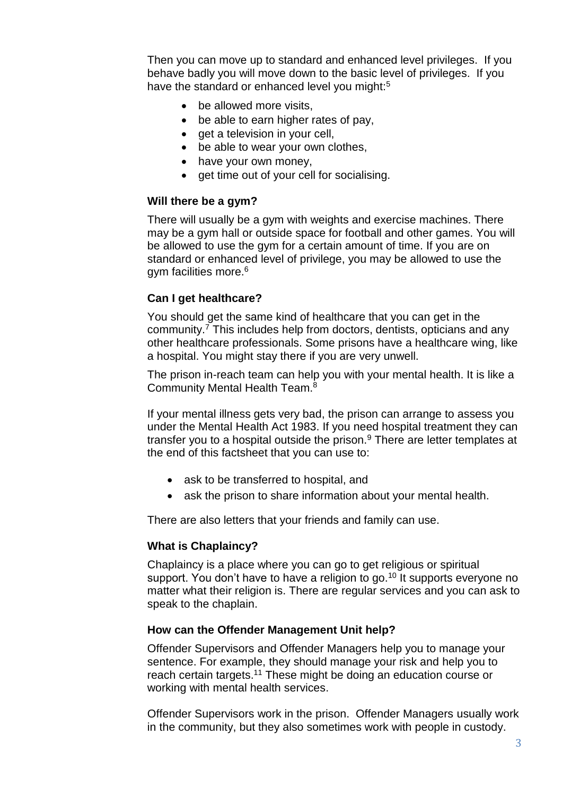Then you can move up to standard and enhanced level privileges. If you behave badly you will move down to the basic level of privileges. If you have the standard or enhanced level you might:<sup>5</sup>

- be allowed more visits.
- be able to earn higher rates of pay,
- get a television in your cell,
- be able to wear your own clothes,
- have your own money.
- get time out of your cell for socialising.

#### **Will there be a gym?**

There will usually be a gym with weights and exercise machines. There may be a gym hall or outside space for football and other games. You will be allowed to use the gym for a certain amount of time. If you are on standard or enhanced level of privilege, you may be allowed to use the gym facilities more.<sup>6</sup>

#### **Can I get healthcare?**

You should get the same kind of healthcare that you can get in the community.<sup>7</sup> This includes help from doctors, dentists, opticians and any other healthcare professionals. Some prisons have a healthcare wing, like a hospital. You might stay there if you are very unwell.

The prison in-reach team can help you with your mental health. It is like a Community Mental Health Team.<sup>8</sup>

If your mental illness gets very bad, the prison can arrange to assess you under the Mental Health Act 1983. If you need hospital treatment they can transfer you to a hospital outside the prison. $9$  There are letter templates at the end of this factsheet that you can use to:

- ask to be transferred to hospital, and
- ask the prison to share information about your mental health.

There are also letters that your friends and family can use.

#### **What is Chaplaincy?**

Chaplaincy is a place where you can go to get religious or spiritual support. You don't have to have a religion to go.<sup>10</sup> It supports everyone no matter what their religion is. There are regular services and you can ask to speak to the chaplain.

#### **How can the Offender Management Unit help?**

Offender Supervisors and Offender Managers help you to manage your sentence. For example, they should manage your risk and help you to reach certain targets.<sup>11</sup> These might be doing an education course or working with mental health services.

Offender Supervisors work in the prison. Offender Managers usually work in the community, but they also sometimes work with people in custody.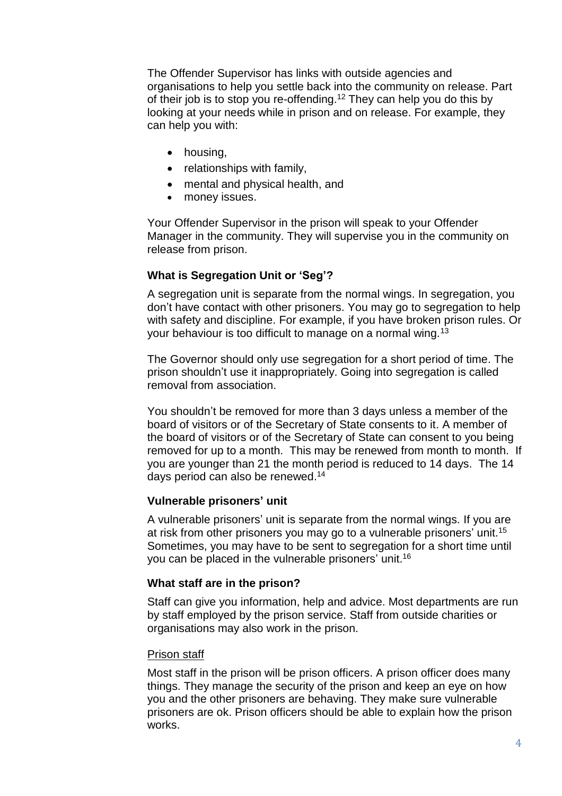The Offender Supervisor has links with outside agencies and organisations to help you settle back into the community on release. Part of their job is to stop you re-offending.<sup>12</sup> They can help you do this by looking at your needs while in prison and on release. For example, they can help you with:

- housing,
- relationships with family,
- mental and physical health, and
- money issues.

Your Offender Supervisor in the prison will speak to your Offender Manager in the community. They will supervise you in the community on release from prison.

#### **What is Segregation Unit or 'Seg'?**

A segregation unit is separate from the normal wings. In segregation, you don't have contact with other prisoners. You may go to segregation to help with safety and discipline. For example, if you have broken prison rules. Or your behaviour is too difficult to manage on a normal wing.<sup>13</sup>

The Governor should only use segregation for a short period of time. The prison shouldn't use it inappropriately. Going into segregation is called removal from association.

You shouldn't be removed for more than 3 days unless a member of the board of visitors or of the Secretary of State consents to it. A member of the board of visitors or of the Secretary of State can consent to you being removed for up to a month. This may be renewed from month to month. If you are younger than 21 the month period is reduced to 14 days. The 14 days period can also be renewed. 14

#### **Vulnerable prisoners' unit**

A vulnerable prisoners' unit is separate from the normal wings. If you are at risk from other prisoners you may go to a vulnerable prisoners' unit. 15 Sometimes, you may have to be sent to segregation for a short time until you can be placed in the vulnerable prisoners' unit.<sup>16</sup>

#### **What staff are in the prison?**

Staff can give you information, help and advice. Most departments are run by staff employed by the prison service. Staff from outside charities or organisations may also work in the prison.

#### **Prison staff**

Most staff in the prison will be prison officers. A prison officer does many things. They manage the security of the prison and keep an eye on how you and the other prisoners are behaving. They make sure vulnerable prisoners are ok. Prison officers should be able to explain how the prison works.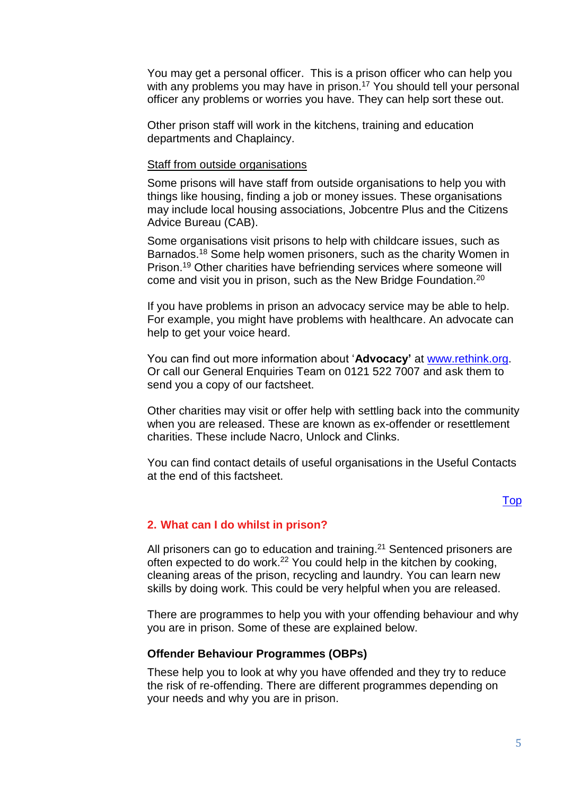You may get a personal officer. This is a prison officer who can help you with any problems you may have in prison.<sup>17</sup> You should tell your personal officer any problems or worries you have. They can help sort these out.

Other prison staff will work in the kitchens, training and education departments and Chaplaincy.

#### Staff from outside organisations

Some prisons will have staff from outside organisations to help you with things like housing, finding a job or money issues. These organisations may include local housing associations, Jobcentre Plus and the Citizens Advice Bureau (CAB).

Some organisations visit prisons to help with childcare issues, such as Barnados.<sup>18</sup> Some help women prisoners, such as the charity Women in Prison.<sup>19</sup> Other charities have befriending services where someone will come and visit you in prison, such as the New Bridge Foundation.<sup>20</sup>

If you have problems in prison an advocacy service may be able to help. For example, you might have problems with healthcare. An advocate can help to get your voice heard.

You can find out more information about '**Advocacy'** at [www.rethink.org.](http://www.rethink.org/) Or call our General Enquiries Team on 0121 522 7007 and ask them to send you a copy of our factsheet.

Other charities may visit or offer help with settling back into the community when you are released. These are known as ex-offender or resettlement charities. These include Nacro, Unlock and Clinks.

You can find contact details of useful organisations in the Useful Contacts at the end of this factsheet.

#### [Top](#page-0-1)

#### <span id="page-4-0"></span>**2. What can I do whilst in prison?**

All prisoners can go to education and training.<sup>21</sup> Sentenced prisoners are often expected to do work.<sup>22</sup> You could help in the kitchen by cooking, cleaning areas of the prison, recycling and laundry. You can learn new skills by doing work. This could be very helpful when you are released.

There are programmes to help you with your offending behaviour and why you are in prison. Some of these are explained below.

#### **Offender Behaviour Programmes (OBPs)**

These help you to look at why you have offended and they try to reduce the risk of re-offending. There are different programmes depending on your needs and why you are in prison.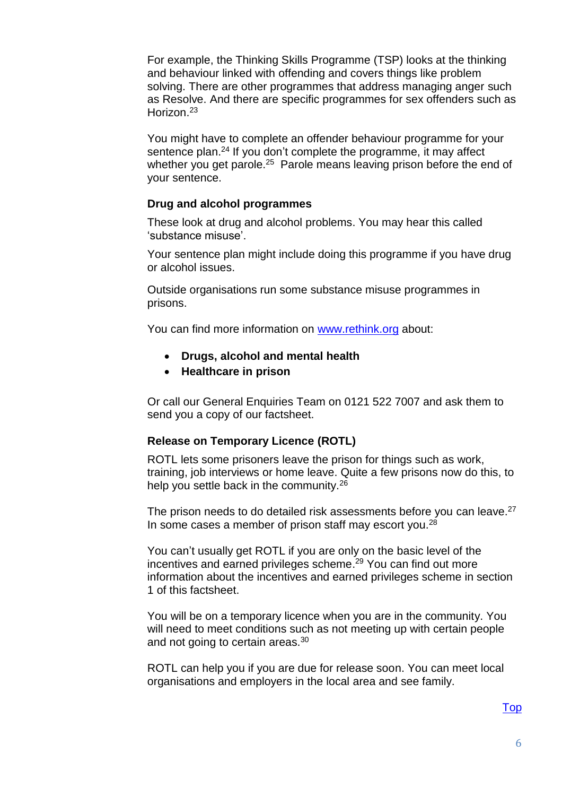For example, the Thinking Skills Programme (TSP) looks at the thinking and behaviour linked with offending and covers things like problem solving. There are other programmes that address managing anger such as Resolve. And there are specific programmes for sex offenders such as Horizon. 23

You might have to complete an offender behaviour programme for your sentence plan.<sup>24</sup> If you don't complete the programme, it may affect whether you get parole.<sup>25</sup> Parole means leaving prison before the end of your sentence.

#### **Drug and alcohol programmes**

These look at drug and alcohol problems. You may hear this called 'substance misuse'.

Your sentence plan might include doing this programme if you have drug or alcohol issues.

Outside organisations run some substance misuse programmes in prisons.

You can find more information on [www.rethink.org](http://www.rethink.org/) about:

- **Drugs, alcohol and mental health**
- **Healthcare in prison**

Or call our General Enquiries Team on 0121 522 7007 and ask them to send you a copy of our factsheet.

#### **Release on Temporary Licence (ROTL)**

ROTL lets some prisoners leave the prison for things such as work, training, job interviews or home leave. Quite a few prisons now do this, to help you settle back in the community.<sup>26</sup>

The prison needs to do detailed risk assessments before you can leave.<sup>27</sup> In some cases a member of prison staff may escort you.<sup>28</sup>

You can't usually get ROTL if you are only on the basic level of the incentives and earned privileges scheme. <sup>29</sup> You can find out more information about the incentives and earned privileges scheme in section 1 of this factsheet.

You will be on a temporary licence when you are in the community. You will need to meet conditions such as not meeting up with certain people and not going to certain areas.<sup>30</sup>

ROTL can help you if you are due for release soon. You can meet local organisations and employers in the local area and see family.

# [Top](#page-0-1)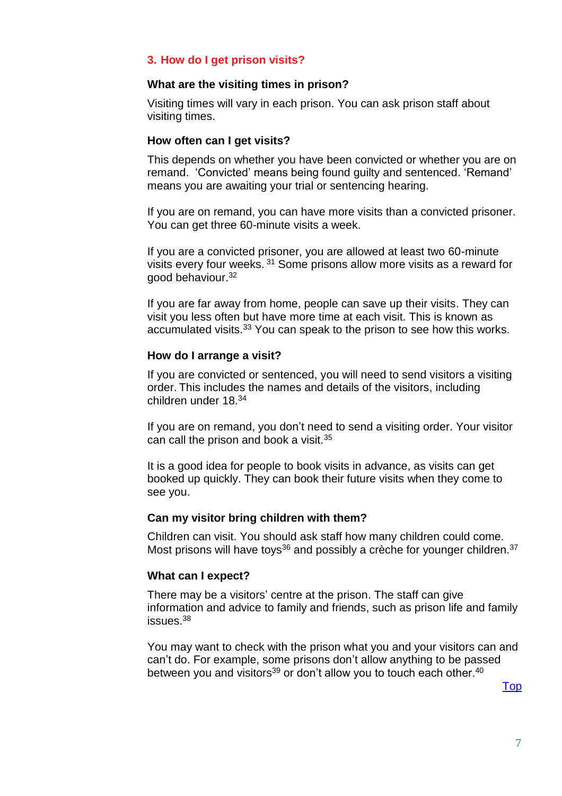# **3. How do I get prison visits?**

#### **What are the visiting times in prison?**

Visiting times will vary in each prison. You can ask prison staff about visiting times.

#### **How often can I get visits?**

This depends on whether you have been convicted or whether you are on remand. 'Convicted' means being found guilty and sentenced. 'Remand' means you are awaiting your trial or sentencing hearing.

If you are on remand, you can have more visits than a convicted prisoner. You can get three 60-minute visits a week.

If you are a convicted prisoner, you are allowed at least two 60-minute visits every four weeks. <sup>31</sup> Some prisons allow more visits as a reward for good behaviour. 32

If you are far away from home, people can save up their visits. They can visit you less often but have more time at each visit. This is known as accumulated visits.<sup>33</sup> You can speak to the prison to see how this works.

#### **How do I arrange a visit?**

If you are convicted or sentenced, you will need to send visitors a visiting order. This includes the names and details of the visitors, including children under 18.<sup>34</sup>

If you are on remand, you don't need to send a visiting order. Your visitor can call the prison and book a visit.<sup>35</sup>

It is a good idea for people to book visits in advance, as visits can get booked up quickly. They can book their future visits when they come to see you.

#### **Can my visitor bring children with them?**

Children can visit. You should ask staff how many children could come. Most prisons will have toys<sup>36</sup> and possibly a crèche for younger children.<sup>37</sup>

#### **What can I expect?**

There may be a visitors' centre at the prison. The staff can give information and advice to family and friends, such as prison life and family issues.<sup>38</sup>

You may want to check with the prison what you and your visitors can and can't do. For example, some prisons don't allow anything to be passed between you and visitors $^{\rm 39}$  or don't allow you to touch each other. $^{\rm 40}$ 

[Top](#page-0-1)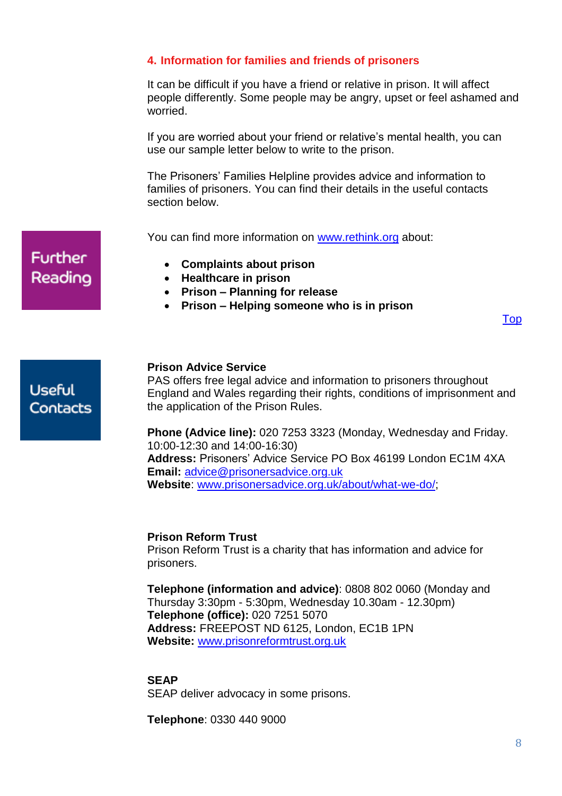# <span id="page-7-0"></span>**4. Information for families and friends of prisoners**

It can be difficult if you have a friend or relative in prison. It will affect people differently. Some people may be angry, upset or feel ashamed and worried.

If you are worried about your friend or relative's mental health, you can use our sample letter below to write to the prison.

The Prisoners' Families Helpline provides advice and information to families of prisoners. You can find their details in the useful contacts section below.

You can find more information on [www.rethink.org](http://www.rethink.org/) about:

- **Complaints about prison**
- **Healthcare in prison**
- **Prison – Planning for release**
- **Prison – Helping someone who is in prison**

[Top](#page-0-1)

**Useful Contacts** 

**Further** 

Reading

#### **Prison Advice Service**

PAS offers free legal advice and information to prisoners throughout England and Wales regarding their rights, conditions of imprisonment and the application of the Prison Rules.

**Phone (Advice line):** 020 7253 3323 (Monday, Wednesday and Friday. 10:00-12:30 and 14:00-16:30) **Address:** Prisoners' Advice Service PO Box 46199 London EC1M 4XA **Email:** [advice@prisonersadvice.org.uk](mailto:advice@prisonersadvice.org.uk) **Website**: [www.prisonersadvice.org.uk/about/what-we-do/;](http://www.prisonersadvice.org.uk/about/what-we-do/)

#### **Prison Reform Trust**

Prison Reform Trust is a charity that has information and advice for prisoners.

**Telephone (information and advice)**: 0808 802 0060 (Monday and Thursday 3:30pm - 5:30pm, Wednesday 10.30am - 12.30pm) **Telephone (office):** 020 7251 5070 **Address:** FREEPOST ND 6125, London, EC1B 1PN **Website:** [www.prisonreformtrust.org.uk](http://www.prisonreformtrust.org.uk/) 

#### **SEAP**

SEAP deliver advocacy in some prisons.

**Telephone**: 0330 440 9000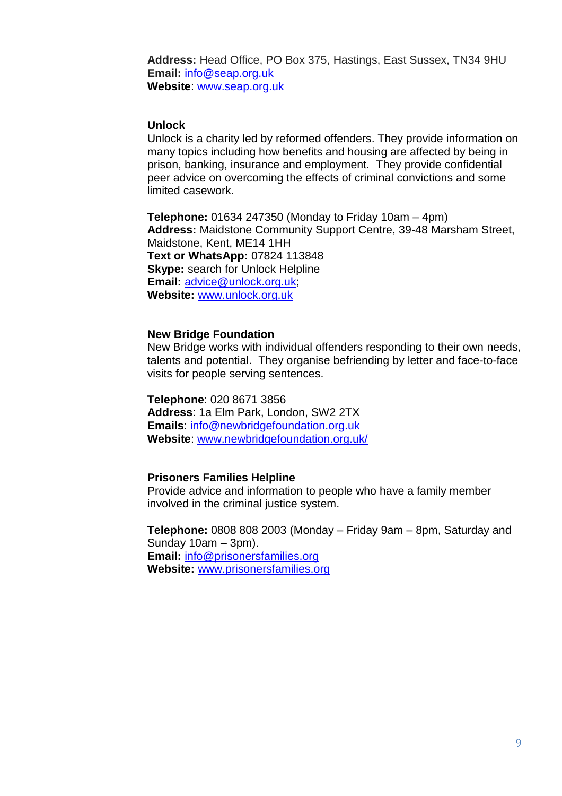**Address:** Head Office, PO Box 375, Hastings, East Sussex, TN34 9HU **Email:** [info@seap.org.uk](mailto:info@seap.org.uk) **Website**: [www.seap.org.uk](http://www.seap.org.uk/)

#### **Unlock**

Unlock is a charity led by reformed offenders. They provide information on many topics including how benefits and housing are affected by being in prison, banking, insurance and employment. They provide confidential peer advice on overcoming the effects of criminal convictions and some limited casework.

**Telephone:** 01634 247350 (Monday to Friday 10am – 4pm) **Address:** Maidstone Community Support Centre, 39-48 Marsham Street, Maidstone, Kent, ME14 1HH **[Text or WhatsApp:](http://hub.unlock.org.uk/contact/#Texting%20us%20or%20contacting%20us%20by%20WhatsApp)** 07824 113848 **[Skype:](http://hub.unlock.org.uk/contact/#Contacting%20us%20by%20Skype)** search for Unlock Helpline **Email:** [advice@unlock.org.uk;](mailto:advice@unlock.org.uk) **Website:** [www.unlock.org.uk](http://www.unlock.org.uk/)

#### **New Bridge Foundation**

New Bridge works with individual offenders responding to their own needs, talents and potential. They organise befriending by letter and face-to-face visits for people serving sentences.

**Telephone**: 020 8671 3856 **Address**: 1a Elm Park, London, SW2 2TX **Emails**: [info@newbridgefoundation.org.uk](mailto:info@newbridgefoundation.org.uk) **Website**: [www.newbridgefoundation.org.uk/](http://www.newbridgefoundation.org.uk/)

#### **Prisoners Families Helpline**

Provide advice and information to people who have a family member involved in the criminal justice system.

**Telephone:** 0808 808 2003 (Monday – Friday 9am – 8pm, Saturday and Sunday 10am – 3pm). **Email:** [info@prisonersfamilies.org](mailto:info@prisonersfamilies.org) **Website:** [www.prisonersfamilies.org](http://www.prisonersfamilies.org/)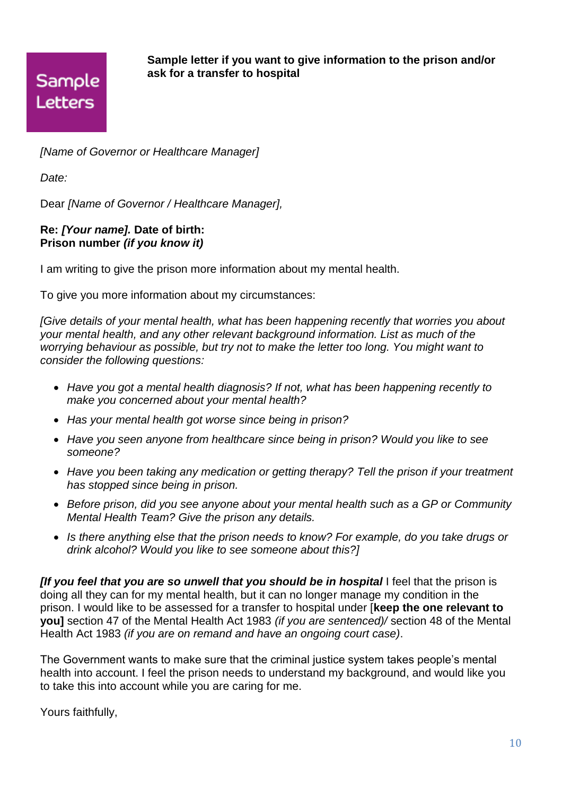

**Sample letter if you want to give information to the prison and/or ask for a transfer to hospital** 

*[Name of Governor or Healthcare Manager]*

*Date:*

Dear *[Name of Governor / Healthcare Manager],*

## **Re:** *[Your name].* **Date of birth: Prison number** *(if you know it)*

I am writing to give the prison more information about my mental health.

To give you more information about my circumstances:

*[Give details of your mental health, what has been happening recently that worries you about your mental health, and any other relevant background information. List as much of the worrying behaviour as possible, but try not to make the letter too long. You might want to consider the following questions:* 

- *Have you got a mental health diagnosis? If not, what has been happening recently to make you concerned about your mental health?*
- *Has your mental health got worse since being in prison?*
- *Have you seen anyone from healthcare since being in prison? Would you like to see someone?*
- *Have you been taking any medication or getting therapy? Tell the prison if your treatment has stopped since being in prison.*
- *Before prison, did you see anyone about your mental health such as a GP or Community Mental Health Team? Give the prison any details.*
- *Is there anything else that the prison needs to know? For example, do you take drugs or drink alcohol? Would you like to see someone about this?]*

*[If you feel that you are so unwell that you should be in hospital* I feel that the prison is doing all they can for my mental health, but it can no longer manage my condition in the prison. I would like to be assessed for a transfer to hospital under [**keep the one relevant to you]** section 47 of the Mental Health Act 1983 *(if you are sentenced)/* section 48 of the Mental Health Act 1983 *(if you are on remand and have an ongoing court case)*.

The Government wants to make sure that the criminal justice system takes people's mental health into account. I feel the prison needs to understand my background, and would like you to take this into account while you are caring for me.

Yours faithfully,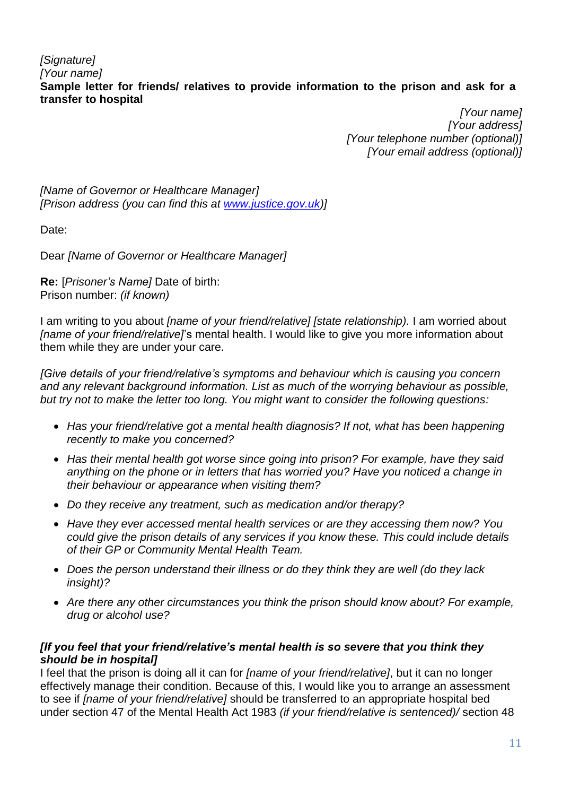*[Signature] [Your name]* **Sample letter for friends/ relatives to provide information to the prison and ask for a transfer to hospital**

*[Your name] [Your address] [Your telephone number (optional)] [Your email address (optional)]*

*[Name of Governor or Healthcare Manager] [Prison address (you can find this at [www.justice.gov.uk\)](http://www.justice.gov.uk/)]*

Date:

Dear *[Name of Governor or Healthcare Manager]*

**Re:** [*Prisoner's Name]* Date of birth: Prison number: *(if known)* 

I am writing to you about *[name of your friend/relative] [state relationship).* I am worried about *[name of your friend/relative]*'s mental health. I would like to give you more information about them while they are under your care.

*[Give details of your friend/relative's symptoms and behaviour which is causing you concern and any relevant background information. List as much of the worrying behaviour as possible, but try not to make the letter too long. You might want to consider the following questions:* 

- *Has your friend/relative got a mental health diagnosis? If not, what has been happening recently to make you concerned?*
- *Has their mental health got worse since going into prison? For example, have they said anything on the phone or in letters that has worried you? Have you noticed a change in their behaviour or appearance when visiting them?*
- *Do they receive any treatment, such as medication and/or therapy?*
- *Have they ever accessed mental health services or are they accessing them now? You could give the prison details of any services if you know these. This could include details of their GP or Community Mental Health Team.*
- *Does the person understand their illness or do they think they are well (do they lack insight)?*
- *Are there any other circumstances you think the prison should know about? For example, drug or alcohol use?*

# *[If you feel that your friend/relative's mental health is so severe that you think they should be in hospital]*

I feel that the prison is doing all it can for *[name of your friend/relative]*, but it can no longer effectively manage their condition. Because of this, I would like you to arrange an assessment to see if *[name of your friend/relative]* should be transferred to an appropriate hospital bed under section 47 of the Mental Health Act 1983 *(if your friend/relative is sentenced)/* section 48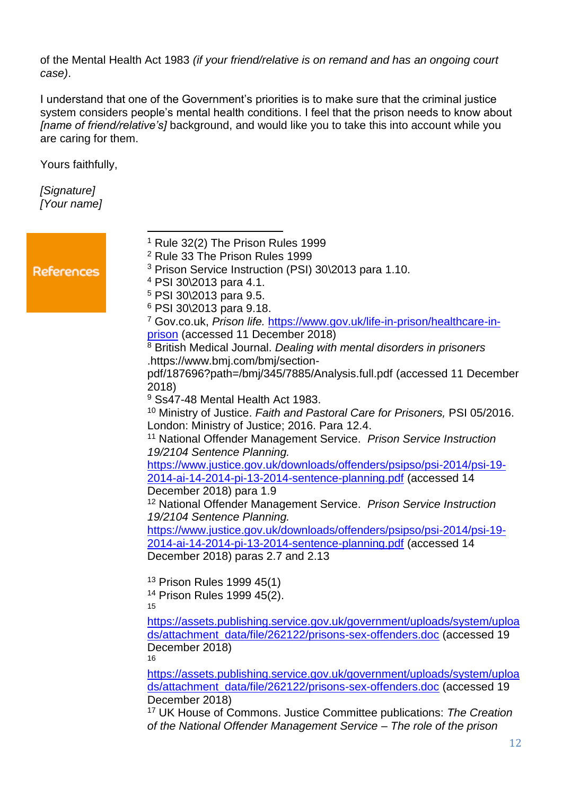of the Mental Health Act 1983 *(if your friend/relative is on remand and has an ongoing court case)*.

I understand that one of the Government's priorities is to make sure that the criminal justice system considers people's mental health conditions. I feel that the prison needs to know about *[name of friend/relative's]* background, and would like you to take this into account while you are caring for them.

Yours faithfully,

 $\overline{a}$ 

*[Signature] [Your name]*

|                   | $1$ Rule 32(2) The Prison Rules 1999                                                   |
|-------------------|----------------------------------------------------------------------------------------|
|                   | <sup>2</sup> Rule 33 The Prison Rules 1999                                             |
| <b>References</b> | <sup>3</sup> Prison Service Instruction (PSI) 30\2013 para 1.10.                       |
|                   | <sup>4</sup> PSI 30\2013 para 4.1.                                                     |
|                   | <sup>5</sup> PSI 30\2013 para 9.5.                                                     |
|                   | <sup>6</sup> PSI 30\2013 para 9.18.                                                    |
|                   | <sup>7</sup> Gov.co.uk, Prison life. https://www.gov.uk/life-in-prison/healthcare-in-  |
|                   | prison (accessed 11 December 2018)                                                     |
|                   | <sup>8</sup> British Medical Journal. Dealing with mental disorders in prisoners       |
|                   | .https://www.bmj.com/bmj/section-                                                      |
|                   | pdf/187696?path=/bmj/345/7885/Analysis.full.pdf (accessed 11 December                  |
|                   | 2018)                                                                                  |
|                   | <sup>9</sup> Ss47-48 Mental Health Act 1983.                                           |
|                   | <sup>10</sup> Ministry of Justice. Faith and Pastoral Care for Prisoners, PSI 05/2016. |
|                   | London: Ministry of Justice; 2016. Para 12.4.                                          |
|                   | <sup>11</sup> National Offender Management Service. Prison Service Instruction         |
|                   | 19/2104 Sentence Planning.                                                             |
|                   | https://www.justice.gov.uk/downloads/offenders/psipso/psi-2014/psi-19-                 |
|                   | 2014-ai-14-2014-pi-13-2014-sentence-planning.pdf (accessed 14                          |
|                   | December 2018) para 1.9                                                                |
|                   | <sup>12</sup> National Offender Management Service. Prison Service Instruction         |
|                   | 19/2104 Sentence Planning.                                                             |
|                   | https://www.justice.gov.uk/downloads/offenders/psipso/psi-2014/psi-19-                 |
|                   | 2014-ai-14-2014-pi-13-2014-sentence-planning.pdf (accessed 14                          |
|                   | December 2018) paras 2.7 and 2.13                                                      |
|                   |                                                                                        |
|                   | <sup>13</sup> Prison Rules 1999 45(1)                                                  |
|                   | <sup>14</sup> Prison Rules 1999 45(2).                                                 |
|                   | 15                                                                                     |
|                   | https://assets.publishing.service.gov.uk/government/uploads/system/uploa               |
|                   | ds/attachment_data/file/262122/prisons-sex-offenders.doc (accessed 19                  |
|                   | December 2018)                                                                         |
|                   | 16                                                                                     |
|                   | https://assets.publishing.service.gov.uk/government/uploads/system/uploa               |
|                   | ds/attachment_data/file/262122/prisons-sex-offenders.doc (accessed 19                  |
|                   | December 2018)                                                                         |
|                   | <sup>17</sup> UK House of Commons. Justice Committee publications: The Creation        |
|                   | of the National Offender Management Service - The role of the prison                   |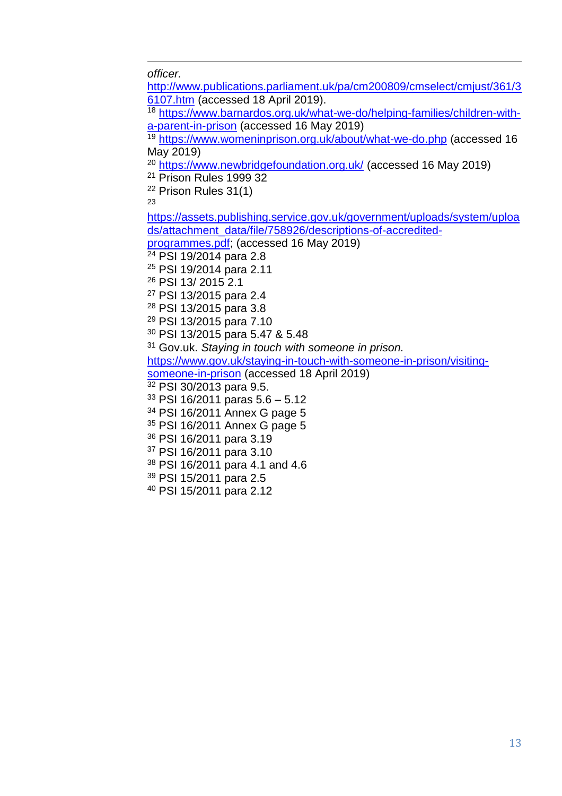$\overline{a}$ *officer.*

[http://www.publications.parliament.uk/pa/cm200809/cmselect/cmjust/361/3](http://www.publications.parliament.uk/pa/cm200809/cmselect/cmjust/361/36107.htm) [6107.htm](http://www.publications.parliament.uk/pa/cm200809/cmselect/cmjust/361/36107.htm) (accessed 18 April 2019). [https://www.barnardos.org.uk/what-we-do/helping-families/children-with](https://www.barnardos.org.uk/what-we-do/helping-families/children-with-a-parent-in-prison)[a-parent-in-prison](https://www.barnardos.org.uk/what-we-do/helping-families/children-with-a-parent-in-prison) (accessed 16 May 2019) <https://www.womeninprison.org.uk/about/what-we-do.php> (accessed 16 May 2019) <https://www.newbridgefoundation.org.uk/> (accessed 16 May 2019) Prison Rules 1999 32 Prison Rules 31(1) [https://assets.publishing.service.gov.uk/government/uploads/system/uploa](https://assets.publishing.service.gov.uk/government/uploads/system/uploads/attachment_data/file/758926/descriptions-of-accredited-programmes.pdf) [ds/attachment\\_data/file/758926/descriptions-of-accredited](https://assets.publishing.service.gov.uk/government/uploads/system/uploads/attachment_data/file/758926/descriptions-of-accredited-programmes.pdf)[programmes.pdf;](https://assets.publishing.service.gov.uk/government/uploads/system/uploads/attachment_data/file/758926/descriptions-of-accredited-programmes.pdf) (accessed 16 May 2019) <sup>24</sup> PSI 19/2014 para 2.8 PSI 19/2014 para 2.11 PSI 13/ 2015 2.1 PSI 13/2015 para 2.4 PSI 13/2015 para 3.8 PSI 13/2015 para 7.10 PSI 13/2015 para 5.47 & 5.48 Gov.uk. *Staying in touch with someone in prison.*  [https://www.gov.uk/staying-in-touch-with-someone-in-prison/visiting](https://www.gov.uk/staying-in-touch-with-someone-in-prison/visiting-someone-in-prison)[someone-in-prison](https://www.gov.uk/staying-in-touch-with-someone-in-prison/visiting-someone-in-prison) (accessed 18 April 2019) PSI 30/2013 para 9.5. PSI 16/2011 paras  $5.6 - 5.12$  PSI 16/2011 Annex G page 5 PSI 16/2011 Annex G page 5 PSI 16/2011 para 3.19 PSI 16/2011 para 3.10 PSI 16/2011 para 4.1 and 4.6 PSI 15/2011 para 2.5 PSI 15/2011 para 2.12